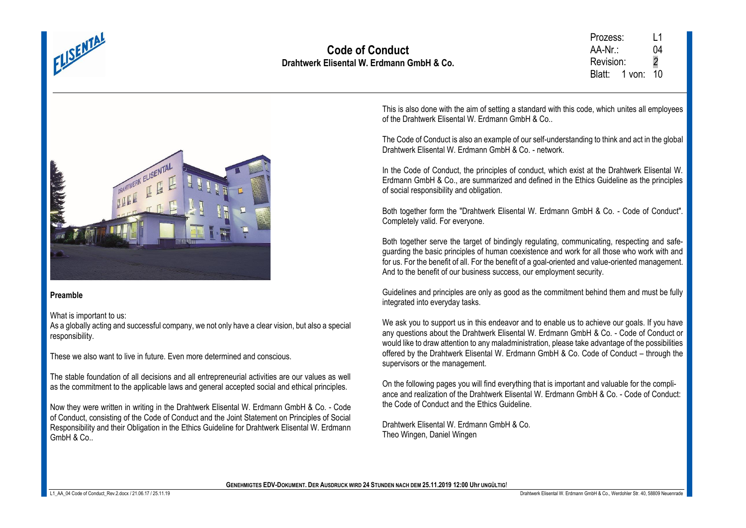

Prozess: L1  $AA-Nr$  04 Revision: *2* Blatt: 1 von: 10



#### **Preamble**

What is important to us:

As a globally acting and successful company, we not only have a clear vision, but also a special responsibility.

These we also want to live in future. Even more determined and conscious.

The stable foundation of all decisions and all entrepreneurial activities are our values as well as the commitment to the applicable laws and general accepted social and ethical principles.

Now they were written in writing in the Drahtwerk Elisental W. Erdmann GmbH & Co. - Code of Conduct, consisting of the Code of Conduct and the Joint Statement on Principles of Social Responsibility and their Obligation in the Ethics Guideline for Drahtwerk Elisental W. Erdmann  $Gm<sub>h</sub>H R C<sub>0</sub>$ 

This is also done with the aim of setting a standard with this code, which unites all employees of the Drahtwerk Elisental W. Erdmann GmbH & Co..

The Code of Conduct is also an example of our self-understanding to think and act in the global Drahtwerk Elisental W. Erdmann GmbH & Co. - network.

In the Code of Conduct, the principles of conduct, which exist at the Drahtwerk Elisental W. Erdmann GmbH & Co., are summarized and defined in the Ethics Guideline as the principles of social responsibility and obligation.

Both together form the "Drahtwerk Elisental W. Erdmann GmbH & Co. - Code of Conduct". Completely valid. For everyone.

Both together serve the target of bindingly regulating, communicating, respecting and safeguarding the basic principles of human coexistence and work for all those who work with and for us. For the benefit of all. For the benefit of a goal-oriented and value-oriented management. And to the benefit of our business success, our employment security.

Guidelines and principles are only as good as the commitment behind them and must be fully integrated into everyday tasks.

We ask you to support us in this endeavor and to enable us to achieve our goals. If you have any questions about the Drahtwerk Elisental W. Erdmann GmbH & Co. - Code of Conduct or would like to draw attention to any maladministration, please take advantage of the possibilities offered by the Drahtwerk Elisental W. Erdmann GmbH & Co. Code of Conduct – through the supervisors or the management.

On the following pages you will find everything that is important and valuable for the compliance and realization of the Drahtwerk Elisental W. Erdmann GmbH & Co. - Code of Conduct: the Code of Conduct and the Ethics Guideline.

Drahtwerk Elisental W. Erdmann GmbH & Co. Theo Wingen, Daniel Wingen

**GENEHMIGTES EDV-DOKUMENT. DER AUSDRUCK WIRD 24 STUNDEN NACH DEM 25.11.2019 12:00 Uhr UNGÜLTIG**!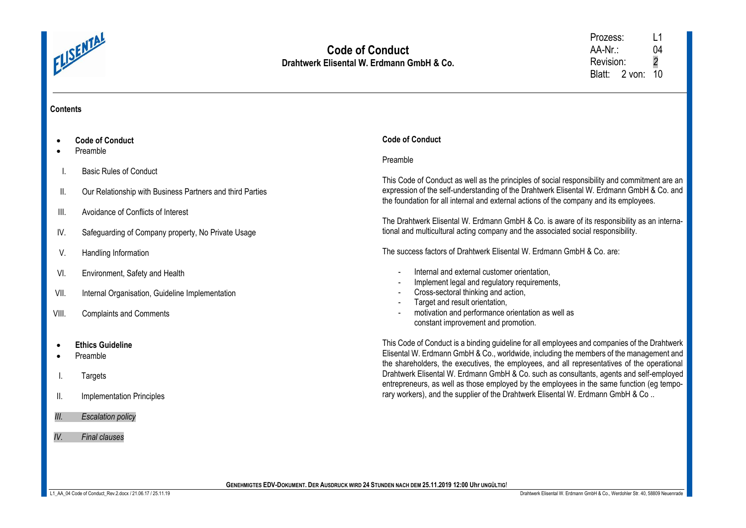

Prozess: L1<br>AA-Nr.: 04 AA-Nr.: Revision: *2* Blatt: 2 von: 10

# **Contents**

|           | <b>Code of Conduct</b>                                    | <b>Code of Conduct</b>                                                                                                                                                                                                                                                              |
|-----------|-----------------------------------------------------------|-------------------------------------------------------------------------------------------------------------------------------------------------------------------------------------------------------------------------------------------------------------------------------------|
|           | Preamble                                                  | Preamble                                                                                                                                                                                                                                                                            |
|           | <b>Basic Rules of Conduct</b>                             | This Code of Conduct as well as the principles of social responsibility and commitment are an                                                                                                                                                                                       |
| Ш.        | Our Relationship with Business Partners and third Parties | expression of the self-understanding of the Drahtwerk Elisental W. Erdmann GmbH & Co. and<br>the foundation for all internal and external actions of the company and its employees.                                                                                                 |
| III.      | Avoidance of Conflicts of Interest                        | The Drahtwerk Elisental W. Erdmann GmbH & Co. is aware of its responsibility as an interna-                                                                                                                                                                                         |
| IV.       | Safeguarding of Company property, No Private Usage        | tional and multicultural acting company and the associated social responsibility.                                                                                                                                                                                                   |
| V.        | Handling Information                                      | The success factors of Drahtwerk Elisental W. Erdmann GmbH & Co. are:                                                                                                                                                                                                               |
| VI.       | Environment, Safety and Health                            | Internal and external customer orientation,<br>$\blacksquare$                                                                                                                                                                                                                       |
| VII.      | Internal Organisation, Guideline Implementation           | Implement legal and regulatory requirements,<br>$\blacksquare$<br>Cross-sectoral thinking and action,<br>Target and result orientation,<br>$\blacksquare$                                                                                                                           |
| VIII.     | <b>Complaints and Comments</b>                            | motivation and performance orientation as well as<br>constant improvement and promotion.                                                                                                                                                                                            |
| $\bullet$ | <b>Ethics Guideline</b><br>Preamble                       | This Code of Conduct is a binding guideline for all employees and companies of the Drahtwerk<br>Elisental W. Erdmann GmbH & Co., worldwide, including the members of the management and                                                                                             |
|           | Targets                                                   | the shareholders, the executives, the employees, and all representatives of the operational<br>Drahtwerk Elisental W. Erdmann GmbH & Co. such as consultants, agents and self-employed<br>entrepreneurs, as well as those employed by the employees in the same function (eg tempo- |
| ΙΙ.       | Implementation Principles                                 | rary workers), and the supplier of the Drahtwerk Elisental W. Erdmann GmbH & Co                                                                                                                                                                                                     |
| III.      | <b>Escalation policy</b>                                  |                                                                                                                                                                                                                                                                                     |
| IV.       | <b>Final clauses</b>                                      |                                                                                                                                                                                                                                                                                     |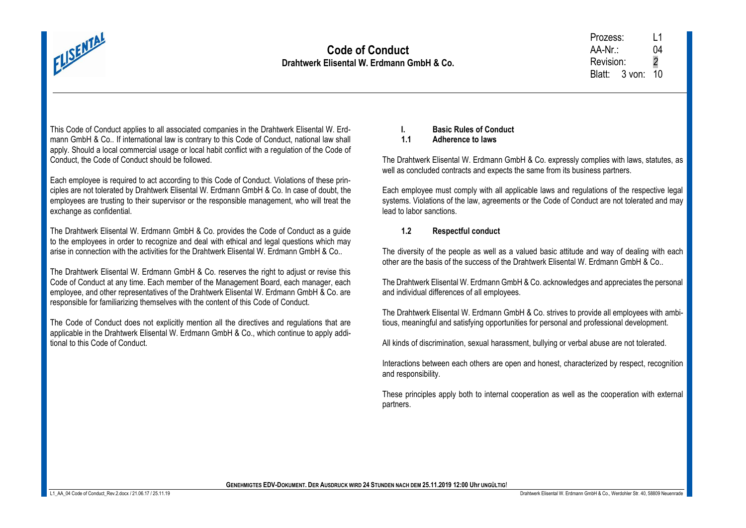

This Code of Conduct applies to all associated companies in the Drahtwerk Elisental W. Erdmann GmbH & Co.. If international law is contrary to this Code of Conduct, national law shall apply. Should a local commercial usage or local habit conflict with a regulation of the Code of Conduct, the Code of Conduct should be followed.

Each employee is required to act according to this Code of Conduct. Violations of these principles are not tolerated by Drahtwerk Elisental W. Erdmann GmbH & Co. In case of doubt, the employees are trusting to their supervisor or the responsible management, who will treat the exchange as confidential.

The Drahtwerk Elisental W. Erdmann GmbH & Co. provides the Code of Conduct as a guide to the employees in order to recognize and deal with ethical and legal questions which may arise in connection with the activities for the Drahtwerk Elisental W. Erdmann GmbH & Co..

The Drahtwerk Elisental W. Erdmann GmbH & Co. reserves the right to adjust or revise this Code of Conduct at any time. Each member of the Management Board, each manager, each employee, and other representatives of the Drahtwerk Elisental W. Erdmann GmbH & Co. are responsible for familiarizing themselves with the content of this Code of Conduct.

The Code of Conduct does not explicitly mention all the directives and regulations that are applicable in the Drahtwerk Elisental W. Erdmann GmbH & Co., which continue to apply additional to this Code of Conduct.

**I. Basic Rules of Conduct**

**1.1 Adherence to laws** 

The Drahtwerk Elisental W. Erdmann GmbH & Co. expressly complies with laws, statutes, as well as concluded contracts and expects the same from its business partners.

Each employee must comply with all applicable laws and regulations of the respective legal systems. Violations of the law, agreements or the Code of Conduct are not tolerated and may lead to labor sanctions.

## **1.2 Respectful conduct**

The diversity of the people as well as a valued basic attitude and way of dealing with each other are the basis of the success of the Drahtwerk Elisental W. Erdmann GmbH & Co..

The Drahtwerk Elisental W. Erdmann GmbH & Co. acknowledges and appreciates the personal and individual differences of all employees.

The Drahtwerk Elisental W. Erdmann GmbH & Co. strives to provide all employees with ambitious, meaningful and satisfying opportunities for personal and professional development.

All kinds of discrimination, sexual harassment, bullying or verbal abuse are not tolerated.

Interactions between each others are open and honest, characterized by respect, recognition and responsibility.

These principles apply both to internal cooperation as well as the cooperation with external partners.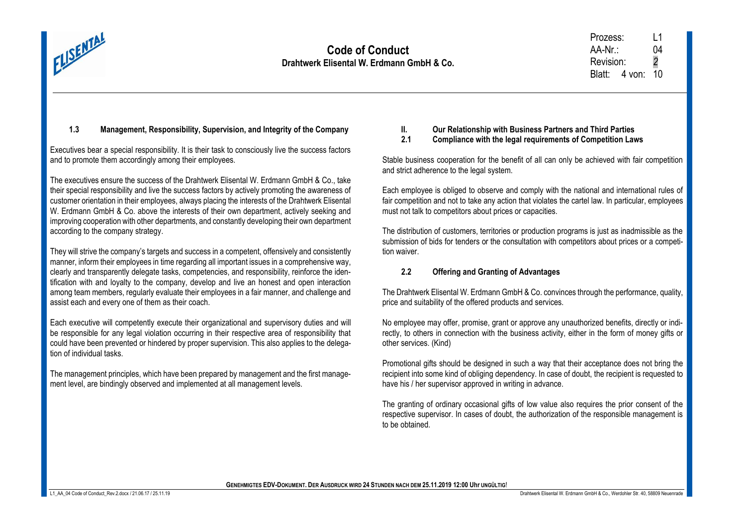

# **1.3 Management, Responsibility, Supervision, and Integrity of the Company**

Executives bear a special responsibility. It is their task to consciously live the success factors and to promote them accordingly among their employees.

The executives ensure the success of the Drahtwerk Elisental W. Erdmann GmbH & Co., take their special responsibility and live the success factors by actively promoting the awareness of customer orientation in their employees, always placing the interests of the Drahtwerk Elisental W. Erdmann GmbH & Co. above the interests of their own department, actively seeking and improving cooperation with other departments, and constantly developing their own department according to the company strategy.

They will strive the company's targets and success in a competent, offensively and consistently manner, inform their employees in time regarding all important issues in a comprehensive way, clearly and transparently delegate tasks, competencies, and responsibility, reinforce the identification with and loyalty to the company, develop and live an honest and open interaction among team members, regularly evaluate their employees in a fair manner, and challenge and assist each and every one of them as their coach.

Each executive will competently execute their organizational and supervisory duties and will be responsible for any legal violation occurring in their respective area of responsibility that could have been prevented or hindered by proper supervision. This also applies to the delegation of individual tasks.

The management principles, which have been prepared by management and the first management level, are bindingly observed and implemented at all management levels.

# **II. Our Relationship with Business Partners and Third Parties**

**2.1 Compliance with the legal requirements of Competition Laws**

Stable business cooperation for the benefit of all can only be achieved with fair competition and strict adherence to the legal system.

Each employee is obliged to observe and comply with the national and international rules of fair competition and not to take any action that violates the cartel law. In particular, employees must not talk to competitors about prices or capacities.

The distribution of customers, territories or production programs is just as inadmissible as the submission of bids for tenders or the consultation with competitors about prices or a competition waiver.

## **2.2 Offering and Granting of Advantages**

The Drahtwerk Elisental W. Erdmann GmbH & Co. convinces through the performance, quality, price and suitability of the offered products and services.

No employee may offer, promise, grant or approve any unauthorized benefits, directly or indirectly, to others in connection with the business activity, either in the form of money gifts or other services. (Kind)

Promotional gifts should be designed in such a way that their acceptance does not bring the recipient into some kind of obliging dependency. In case of doubt, the recipient is requested to have his / her supervisor approved in writing in advance.

The granting of ordinary occasional gifts of low value also requires the prior consent of the respective supervisor. In cases of doubt, the authorization of the responsible management is to be obtained.

**GENEHMIGTES EDV-DOKUMENT. DER AUSDRUCK WIRD 24 STUNDEN NACH DEM 25.11.2019 12:00 Uhr UNGÜLTIG**!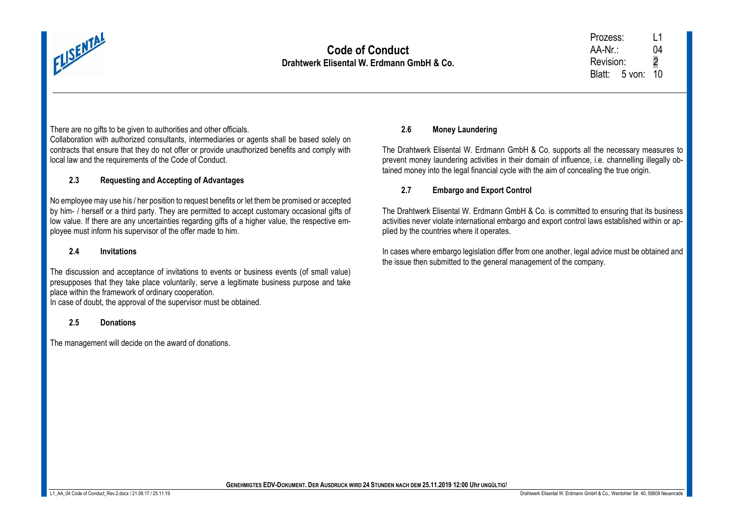

## There are no gifts to be given to authorities and other officials.

Collaboration with authorized consultants, intermediaries or agents shall be based solely on contracts that ensure that they do not offer or provide unauthorized benefits and comply with local law and the requirements of the Code of Conduct.

## **2.3 Requesting and Accepting of Advantages**

No employee may use his / her position to request benefits or let them be promised or accepted by him- / herself or a third party. They are permitted to accept customary occasional gifts of low value. If there are any uncertainties regarding gifts of a higher value, the respective employee must inform his supervisor of the offer made to him.

#### **2.4 Invitations**

The discussion and acceptance of invitations to events or business events (of small value) presupposes that they take place voluntarily, serve a legitimate business purpose and take place within the framework of ordinary cooperation.

In case of doubt, the approval of the supervisor must be obtained.

#### **2.5 Donations**

The management will decide on the award of donations.

### **2.6 Money Laundering**

The Drahtwerk Elisental W. Erdmann GmbH & Co. supports all the necessary measures to prevent money laundering activities in their domain of influence, i.e. channelling illegally obtained money into the legal financial cycle with the aim of concealing the true origin.

## **2.7 Embargo and Export Control**

The Drahtwerk Elisental W. Erdmann GmbH & Co. is committed to ensuring that its business activities never violate international embargo and export control laws established within or applied by the countries where it operates.

In cases where embargo legislation differ from one another, legal advice must be obtained and the issue then submitted to the general management of the company.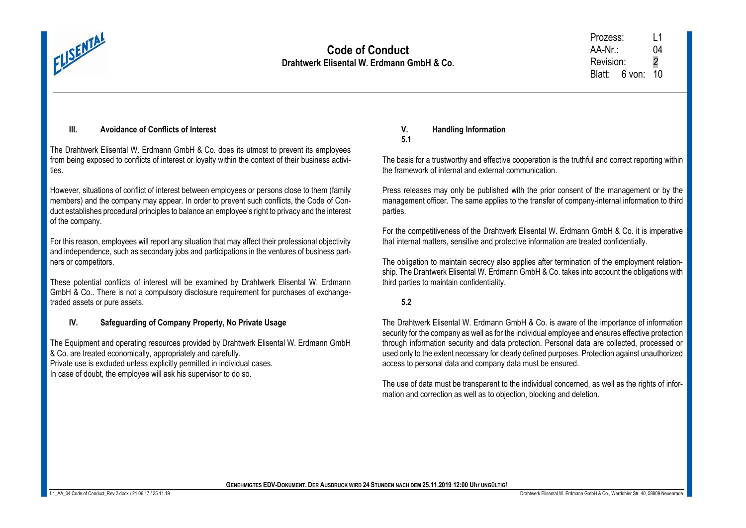

## **III. Avoidance of Conflicts of Interest**

The Drahtwerk Elisental W. Erdmann GmbH & Co. does its utmost to prevent its employees from being exposed to conflicts of interest or loyalty within the context of their business activities.

However, situations of conflict of interest between employees or persons close to them (family members) and the company may appear. In order to prevent such conflicts, the Code of Conduct establishes procedural principles to balance an employee's right to privacy and the interest of the company.

For this reason, employees will report any situation that may affect their professional objectivity and independence, such as secondary jobs and participations in the ventures of business partners or competitors.

These potential conflicts of interest will be examined by Drahtwerk Elisental W. Erdmann GmbH & Co.. There is not a compulsory disclosure requirement for purchases of exchangetraded assets or pure assets.

## **IV. Safeguarding of Company Property, No Private Usage**

The Equipment and operating resources provided by Drahtwerk Elisental W. Erdmann GmbH & Co. are treated economically, appropriately and carefully.

Private use is excluded unless explicitly permitted in individual cases.

In case of doubt, the employee will ask his supervisor to do so.

### **V. Handling Information 5.1**

The basis for a trustworthy and effective cooperation is the truthful and correct reporting within the framework of internal and external communication.

Press releases may only be published with the prior consent of the management or by the management officer. The same applies to the transfer of company-internal information to third parties.

For the competitiveness of the Drahtwerk Elisental W. Erdmann GmbH & Co. it is imperative that internal matters, sensitive and protective information are treated confidentially.

The obligation to maintain secrecy also applies after termination of the employment relationship. The Drahtwerk Elisental W. Erdmann GmbH & Co. takes into account the obligations with third parties to maintain confidentiality.

# **5.2**

The Drahtwerk Elisental W. Erdmann GmbH & Co. is aware of the importance of information security for the company as well as for the individual employee and ensures effective protection through information security and data protection. Personal data are collected, processed or used only to the extent necessary for clearly defined purposes. Protection against unauthorized access to personal data and company data must be ensured.

The use of data must be transparent to the individual concerned, as well as the rights of information and correction as well as to objection, blocking and deletion.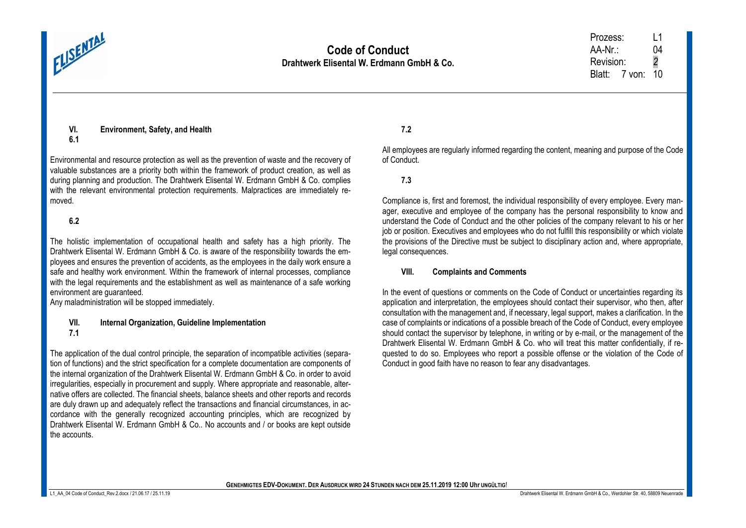

**VI. Environment, Safety, and Health**

Environmental and resource protection as well as the prevention of waste and the recovery of valuable substances are a priority both within the framework of product creation, as well as during planning and production. The Drahtwerk Elisental W. Erdmann GmbH & Co. complies with the relevant environmental protection requirements. Malpractices are immediately removed.

# **6.2**

The holistic implementation of occupational health and safety has a high priority. The Drahtwerk Elisental W. Erdmann GmbH & Co. is aware of the responsibility towards the employees and ensures the prevention of accidents, as the employees in the daily work ensure a safe and healthy work environment. Within the framework of internal processes, compliance with the legal requirements and the establishment as well as maintenance of a safe working environment are guaranteed.

Any maladministration will be stopped immediately.

#### **VII. Internal Organization, Guideline Implementation 7.1**

The application of the dual control principle, the separation of incompatible activities (separation of functions) and the strict specification for a complete documentation are components of the internal organization of the Drahtwerk Elisental W. Erdmann GmbH & Co. in order to avoid irregularities, especially in procurement and supply. Where appropriate and reasonable, alternative offers are collected. The financial sheets, balance sheets and other reports and records are duly drawn up and adequately reflect the transactions and financial circumstances, in accordance with the generally recognized accounting principles, which are recognized by Drahtwerk Elisental W. Erdmann GmbH & Co.. No accounts and / or books are kept outside the accounts.

# **7.2**

All employees are regularly informed regarding the content, meaning and purpose of the Code of Conduct.

# **7.3**

Compliance is, first and foremost, the individual responsibility of every employee. Every manager, executive and employee of the company has the personal responsibility to know and understand the Code of Conduct and the other policies of the company relevant to his or her job or position. Executives and employees who do not fulfill this responsibility or which violate the provisions of the Directive must be subject to disciplinary action and, where appropriate, legal consequences.

## **VIII. Complaints and Comments**

In the event of questions or comments on the Code of Conduct or uncertainties regarding its application and interpretation, the employees should contact their supervisor, who then, after consultation with the management and, if necessary, legal support, makes a clarification. In the case of complaints or indications of a possible breach of the Code of Conduct, every employee should contact the supervisor by telephone, in writing or by e-mail, or the management of the Drahtwerk Elisental W. Erdmann GmbH & Co. who will treat this matter confidentially, if requested to do so. Employees who report a possible offense or the violation of the Code of Conduct in good faith have no reason to fear any disadvantages.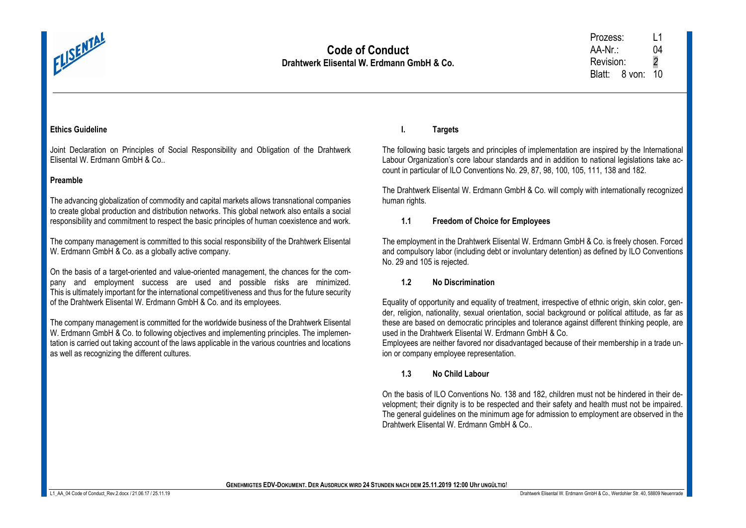

### **Ethics Guideline**

Joint Declaration on Principles of Social Responsibility and Obligation of the Drahtwerk Elisental W. Erdmann GmbH & Co..

### **Preamble**

The advancing globalization of commodity and capital markets allows transnational companies to create global production and distribution networks. This global network also entails a social responsibility and commitment to respect the basic principles of human coexistence and work.

The company management is committed to this social responsibility of the Drahtwerk Elisental W. Erdmann GmbH & Co. as a globally active company.

On the basis of a target-oriented and value-oriented management, the chances for the company and employment success are used and possible risks are minimized. This is ultimately important for the international competitiveness and thus for the future security of the Drahtwerk Elisental W. Erdmann GmbH & Co. and its employees.

The company management is committed for the worldwide business of the Drahtwerk Elisental W. Erdmann GmbH & Co. to following objectives and implementing principles. The implementation is carried out taking account of the laws applicable in the various countries and locations as well as recognizing the different cultures.

**I. Targets**

The following basic targets and principles of implementation are inspired by the International Labour Organization's core labour standards and in addition to national legislations take account in particular of ILO Conventions No. 29, 87, 98, 100, 105, 111, 138 and 182.

The Drahtwerk Elisental W. Erdmann GmbH & Co. will comply with internationally recognized human rights.

## **1.1 Freedom of Choice for Employees**

The employment in the Drahtwerk Elisental W. Erdmann GmbH & Co. is freely chosen. Forced and compulsory labor (including debt or involuntary detention) as defined by ILO Conventions No. 29 and 105 is rejected.

#### **1.2 No Discrimination**

Equality of opportunity and equality of treatment, irrespective of ethnic origin, skin color, gender, religion, nationality, sexual orientation, social background or political attitude, as far as these are based on democratic principles and tolerance against different thinking people, are used in the Drahtwerk Elisental W. Erdmann GmbH & Co.

Employees are neither favored nor disadvantaged because of their membership in a trade union or company employee representation.

**1.3 No Child Labour**

On the basis of ILO Conventions No. 138 and 182, children must not be hindered in their development; their dignity is to be respected and their safety and health must not be impaired. The general guidelines on the minimum age for admission to employment are observed in the Drahtwerk Elisental W. Erdmann GmbH & Co..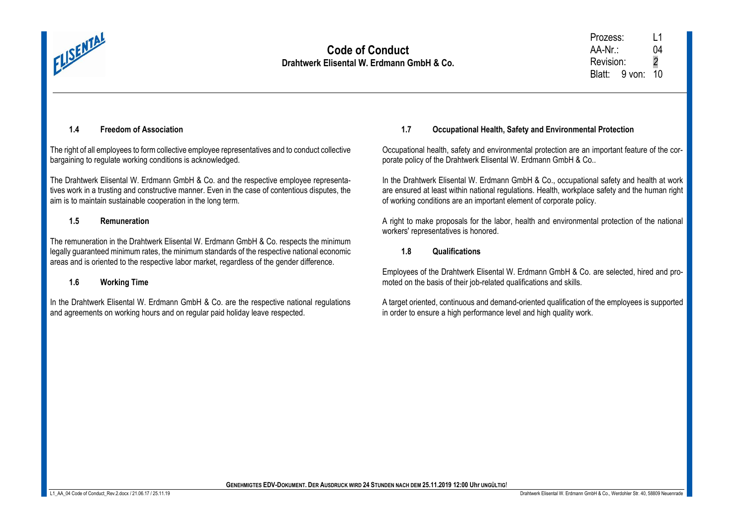

## **1.4 Freedom of Association**

The right of all employees to form collective employee representatives and to conduct collective bargaining to requiate working conditions is acknowledged.

The Drahtwerk Elisental W. Erdmann GmbH & Co. and the respective employee representatives work in a trusting and constructive manner. Even in the case of contentious disputes, the aim is to maintain sustainable cooperation in the long term.

### **1.5 Remuneration**

The remuneration in the Drahtwerk Elisental W. Erdmann GmbH & Co. respects the minimum legally guaranteed minimum rates, the minimum standards of the respective national economic areas and is oriented to the respective labor market, regardless of the gender difference.

## **1.6 Working Time**

In the Drahtwerk Elisental W. Erdmann GmbH & Co. are the respective national regulations and agreements on working hours and on regular paid holiday leave respected.

# **1.7 Occupational Health, Safety and Environmental Protection**

Occupational health, safety and environmental protection are an important feature of the corporate policy of the Drahtwerk Elisental W. Erdmann GmbH & Co..

In the Drahtwerk Elisental W. Erdmann GmbH & Co., occupational safety and health at work are ensured at least within national regulations. Health, workplace safety and the human right of working conditions are an important element of corporate policy.

A right to make proposals for the labor, health and environmental protection of the national workers' representatives is honored.

#### **1.8 Qualifications**

Employees of the Drahtwerk Elisental W. Erdmann GmbH & Co. are selected, hired and promoted on the basis of their job-related qualifications and skills.

A target oriented, continuous and demand-oriented qualification of the employees is supported in order to ensure a high performance level and high quality work.